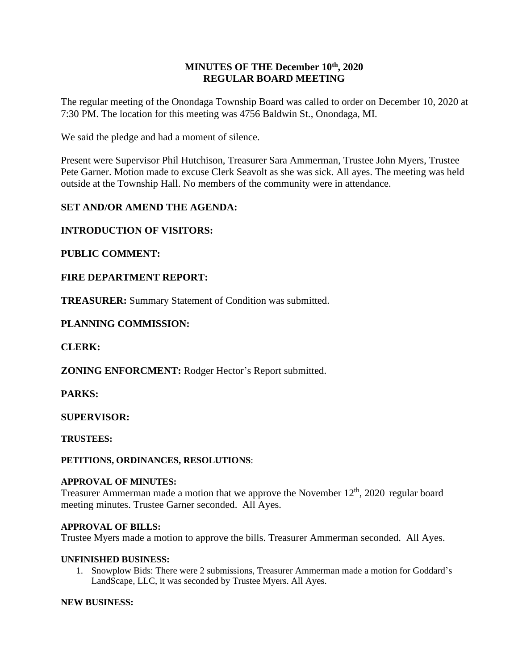#### **MINUTES OF THE December 10th , 2020 REGULAR BOARD MEETING**

The regular meeting of the Onondaga Township Board was called to order on December 10, 2020 at 7:30 PM. The location for this meeting was 4756 Baldwin St., Onondaga, MI.

We said the pledge and had a moment of silence.

Present were Supervisor Phil Hutchison, Treasurer Sara Ammerman, Trustee John Myers, Trustee Pete Garner. Motion made to excuse Clerk Seavolt as she was sick. All ayes. The meeting was held outside at the Township Hall. No members of the community were in attendance.

# **SET AND/OR AMEND THE AGENDA:**

# **INTRODUCTION OF VISITORS:**

### **PUBLIC COMMENT:**

# **FIRE DEPARTMENT REPORT:**

**TREASURER:** Summary Statement of Condition was submitted.

### **PLANNING COMMISSION:**

### **CLERK:**

**ZONING ENFORCMENT:** Rodger Hector's Report submitted.

### **PARKS:**

### **SUPERVISOR:**

**TRUSTEES:**

**PETITIONS, ORDINANCES, RESOLUTIONS**:

#### **APPROVAL OF MINUTES:**

Treasurer Ammerman made a motion that we approve the November  $12<sup>th</sup>$ , 2020 regular board meeting minutes. Trustee Garner seconded. All Ayes.

#### **APPROVAL OF BILLS:**

Trustee Myers made a motion to approve the bills. Treasurer Ammerman seconded. All Ayes.

#### **UNFINISHED BUSINESS:**

1. Snowplow Bids: There were 2 submissions, Treasurer Ammerman made a motion for Goddard's LandScape, LLC, it was seconded by Trustee Myers. All Ayes.

#### **NEW BUSINESS:**